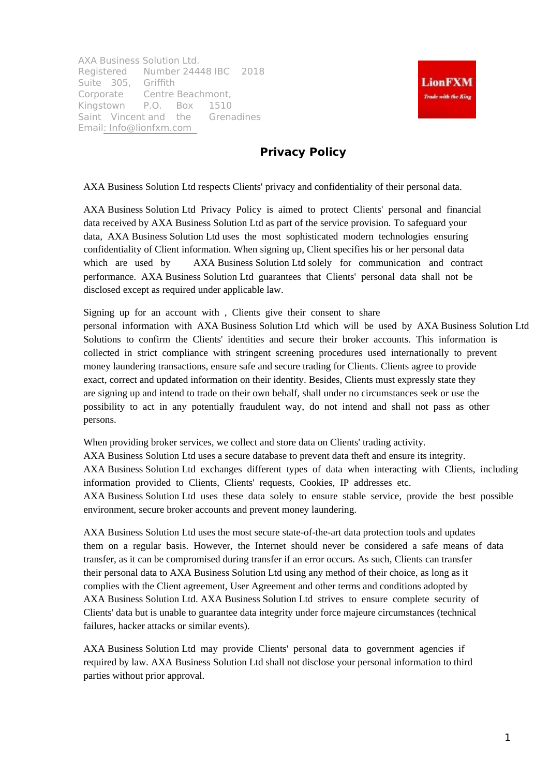AXA Business Solution Ltd. Registered Number 24448 IBC 2018 Suite 305, Griffith Corporate Centre Beachmont, Kingstown P.O. Box 1510 Saint Vincent and the Grenadines Email: Info@lionfxm.com



## **Privacy Policy**

AXA Business Solution Ltd respects Clients' privacy and confidentiality of their personal data.

AXA Business Solution Ltd Privacy Policy is aimed to protect Clients' personal and financial data received by AXA Business Solution Ltd as part of the service provision. To safeguard your data, AXA Business Solution Ltd uses the most sophisticated modern technologies ensuring confidentiality of Client information. When signing up, Client specifies his or her personal data which are used by AXA Business Solution Ltd solely for communication and contract performance. AXA Business Solution Ltd guarantees that Clients' personal data shall not be disclosed except as required under applicable law.

Signing up for an account with , Clients give their consent to share personal information with AXA Business Solution Ltd which will be used by AXA Business Solution Ltd Solutions to confirm the Clients' identities and secure their broker accounts. This information is collected in strict compliance with stringent screening procedures used internationally to prevent money laundering transactions, ensure safe and secure trading for Clients. Clients agree to provide exact, correct and updated information on their identity. Besides, Clients must expressly state they are signing up and intend to trade on their own behalf, shall under no circumstances seek or use the possibility to act in any potentially fraudulent way, do not intend and shall not pass as other persons.

When providing broker services, we collect and store data on Clients' trading activity. AXA Business Solution Ltd uses a secure database to prevent data theft and ensure its integrity. AXA Business Solution Ltd exchanges different types of data when interacting with Clients, including information provided to Clients, Clients' requests, Cookies, IP addresses etc. AXA Business Solution Ltd uses these data solely to ensure stable service, provide the best possible environment, secure broker accounts and prevent money laundering.

AXA Business Solution Ltd uses the most secure state-of-the-art data protection tools and updates them on a regular basis. However, the Internet should never be considered a safe means of data transfer, as it can be compromised during transfer if an error occurs. As such, Clients can transfer their personal data to AXA Business Solution Ltd using any method of their choice, as long as it complies with the Client agreement, User Agreement and other terms and conditions adopted by AXA Business Solution Ltd. AXA Business Solution Ltd strives to ensure complete security of Clients' data but is unable to guarantee data integrity under force majeure circumstances (technical failures, hacker attacks or similar events).

AXA Business Solution Ltd may provide Clients' personal data to government agencies if required by law. AXA Business Solution Ltd shall not disclose your personal information to third parties without prior approval.